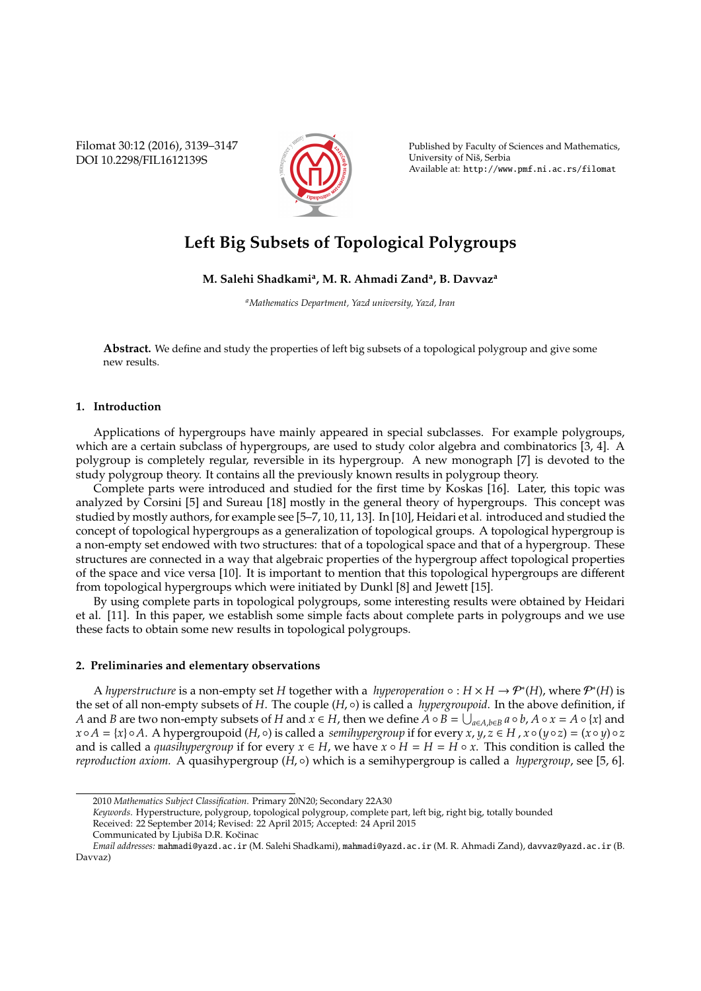Filomat 30:12 (2016), 3139–3147 DOI 10.2298/FIL1612139S



Published by Faculty of Sciences and Mathematics, University of Niš, Serbia Available at: http://www.pmf.ni.ac.rs/filomat

# **Left Big Subsets of Topological Polygroups**

# **M. Salehi Shadkami<sup>a</sup> , M. R. Ahmadi Zand<sup>a</sup> , B. Davvaz<sup>a</sup>**

*<sup>a</sup>Mathematics Department, Yazd university, Yazd, Iran*

**Abstract.** We define and study the properties of left big subsets of a topological polygroup and give some new results.

# **1. Introduction**

Applications of hypergroups have mainly appeared in special subclasses. For example polygroups, which are a certain subclass of hypergroups, are used to study color algebra and combinatorics [3, 4]. A polygroup is completely regular, reversible in its hypergroup. A new monograph [7] is devoted to the study polygroup theory. It contains all the previously known results in polygroup theory.

Complete parts were introduced and studied for the first time by Koskas [16]. Later, this topic was analyzed by Corsini [5] and Sureau [18] mostly in the general theory of hypergroups. This concept was studied by mostly authors, for example see [5–7, 10, 11, 13]. In [10], Heidari et al. introduced and studied the concept of topological hypergroups as a generalization of topological groups. A topological hypergroup is a non-empty set endowed with two structures: that of a topological space and that of a hypergroup. These structures are connected in a way that algebraic properties of the hypergroup affect topological properties of the space and vice versa [10]. It is important to mention that this topological hypergroups are different from topological hypergroups which were initiated by Dunkl [8] and Jewett [15].

By using complete parts in topological polygroups, some interesting results were obtained by Heidari et al. [11]. In this paper, we establish some simple facts about complete parts in polygroups and we use these facts to obtain some new results in topological polygroups.

#### **2. Preliminaries and elementary observations**

A *hyperstructure* is a non-empty set *H* together with a *hyperoperation*  $\circ$  :  $H \times H \to \mathcal{P}^*(H)$ , where  $\mathcal{P}^*(H)$  is the set of all non-empty subsets of *H*. The couple (*H*, ◦) is called a *hypergroupoid*. In the above definition, if A and B are two non-empty subsets of H and  $x \in H$ , then we define  $A \circ B = \bigcup_{a \in A, b \in B} a \circ b$ ,  $A \circ x = A \circ \{x\}$  and  $x \circ A = \{x\} \circ A$ . A hypergroupoid  $(H, \circ)$  is called a *semihypergroup* if for every  $x, y, z \in H$ ,  $x \circ (y \circ z) = (x \circ y) \circ z$ and is called a *quasihypergroup* if for every  $x \in H$ , we have  $x \circ H = H = H \circ x$ . This condition is called the *reproduction axiom.* A quasihypergroup (*H*,  $\circ$ ) which is a semihypergroup is called a *hypergroup*, see [5, 6].

<sup>2010</sup> *Mathematics Subject Classification*. Primary 20N20; Secondary 22A30

*Keywords*. Hyperstructure, polygroup, topological polygroup, complete part, left big, right big, totally bounded

Received: 22 September 2014; Revised: 22 April 2015; Accepted: 24 April 2015

Communicated by Ljubiša D.R. Kočinac

*Email addresses:* mahmadi@yazd.ac.ir (M. Salehi Shadkami), mahmadi@yazd.ac.ir (M. R. Ahmadi Zand), davvaz@yazd.ac.ir (B. Davvaz)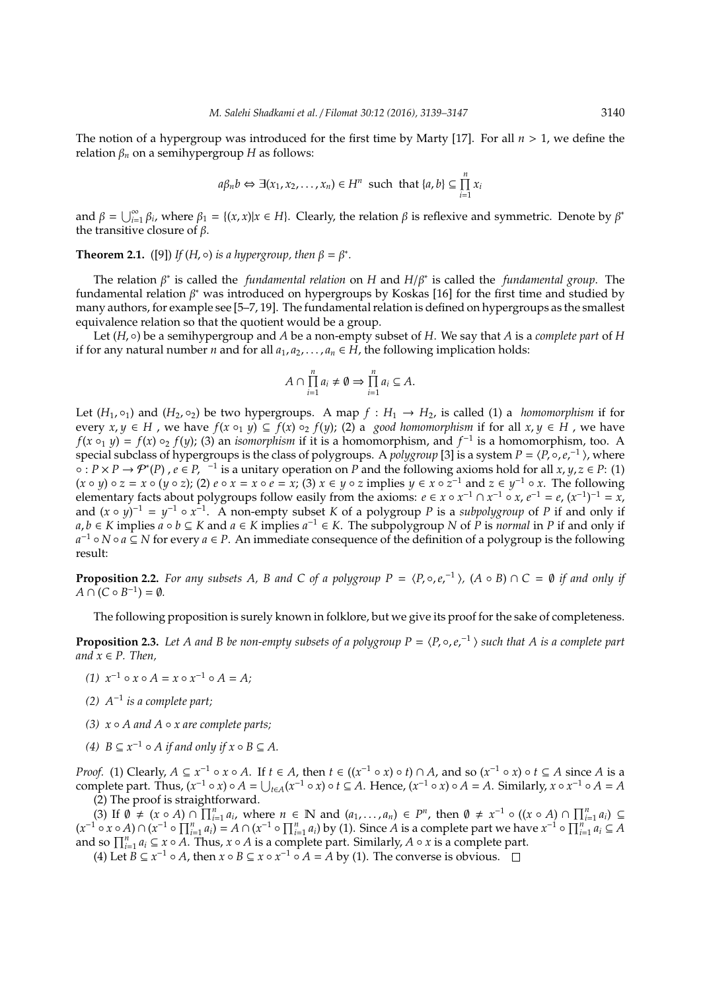The notion of a hypergroup was introduced for the first time by Marty [17]. For all *n* > 1, we define the relation  $β<sub>n</sub>$  on a semihypergroup *H* as follows:

$$
a\beta_n b \Leftrightarrow \exists (x_1, x_2, ..., x_n) \in H^n
$$
 such that  $\{a, b\} \subseteq \prod_{i=1}^n x_i$ 

and  $\beta = \bigcup_{i=1}^{\infty} \beta_i$ , where  $\beta_1 = \{(x, x) | x \in H\}$ . Clearly, the relation  $\beta$  is reflexive and symmetric. Denote by  $\beta^*$ the transitive closure of  $\beta$ .

**Theorem 2.1.** ([9]) *If* (*H*,  $\circ$ ) *is a hypergroup, then*  $\beta = \beta^*$ *.* 

The relation β ∗ is called the *fundamental relation* on *H* and *H*/β<sup>∗</sup> is called the *fundamental group*. The fundamental relation β <sup>∗</sup> was introduced on hypergroups by Koskas [16] for the first time and studied by many authors, for example see [5–7, 19]. The fundamental relation is defined on hypergroups as the smallest equivalence relation so that the quotient would be a group.

Let  $(H, \circ)$  be a semihypergroup and *A* be a non-empty subset of *H*. We say that *A* is a *complete part* of *H* if for any natural number *n* and for all  $a_1, a_2, \ldots, a_n \in H$ , the following implication holds:

$$
A \cap \prod_{i=1}^n a_i \neq \emptyset \Rightarrow \prod_{i=1}^n a_i \subseteq A.
$$

Let  $(H_1, \circ_1)$  and  $(H_2, \circ_2)$  be two hypergroups. A map  $f : H_1 \to H_2$ , is called (1) a *homomorphism* if for every  $x, y \in H$ , we have  $f(x \circ_1 y) \subseteq f(x) \circ_2 f(y)$ ; (2) a *good homomorphism* if for all  $x, y \in H$ , we have  $f(x \circ_1 y) = f(x) \circ_2 f(y)$ ; (3) an *isomorphism* if it is a homomorphism, and  $f^{-1}$  is a homomorphism, too. A special subclass of hypergroups is the class of polygroups. A *polygroup* [3] is a system  $P = \langle P, \circ, e,^{-1} \rangle$ , where  $\circ$  :  $P \times P \to P^*(P)$ ,  $e \in P$ ,  $^{-1}$  is a unitary operation on *P* and the following axioms hold for all  $x, y, z \in P$ : (1)  $(x \circ y) \circ z = x \circ (y \circ z)$ ; (2)  $e \circ x = x \circ e = x$ ; (3)  $x \in y \circ z$  implies  $y \in x \circ z^{-1}$  and  $z \in y^{-1} \circ x$ . The following elementary facts about polygroups follow easily from the axioms:  $e \in x \circ x^{-1} \cap x^{-1} \circ x$ ,  $e^{-1} = e$ ,  $(x^{-1})^{-1} = x$ , and  $(x \circ y)^{-1} = y^{-1} \circ x^{-1}$ . A non-empty subset *K* of a polygroup *P* is a *subpolygroup* of *P* if and only if *a*, *b* ∈ *K* implies  $a \circ b \subseteq K$  and  $a \in K$  implies  $a^{-1} \in K$ . The subpolygroup *N* of *P* is *normal* in *P* if and only if *a* <sup>−</sup><sup>1</sup> ◦ *N* ◦ *a* ⊆ *N* for every *a* ∈ *P*. An immediate consequence of the definition of a polygroup is the following result:

**Proposition 2.2.** For any subsets A, B and C of a polygroup  $P = \langle P, \circ, e,^{-1} \rangle$ ,  $(A \circ B) \cap C = \emptyset$  if and only if  $A \cap (C \circ B^{-1}) = \emptyset.$ 

The following proposition is surely known in folklore, but we give its proof for the sake of completeness.

**Proposition 2.3.** Let A and B be non-empty subsets of a polygroup  $P = \langle P, \circ, e, e^{-1} \rangle$  such that A is a complete part *and*  $x \in P$ *. Then,* 

- *(1)*  $x^{-1} \circ x \circ A = x \circ x^{-1} \circ A = A;$
- *(2) A*<sup>−</sup><sup>1</sup> *is a complete part;*
- *(3) x A and A x are complete parts;*
- *(4)*  $B \subseteq x^{-1} ∘ A$  *if and only if*  $x ∘ B \subseteq A$ *.*

*Proof.* (1) Clearly,  $A \subseteq x^{-1} \circ x \circ A$ . If  $t \in A$ , then  $t \in ((x^{-1} \circ x) \circ t) \cap A$ , and so  $(x^{-1} \circ x) \circ t \subseteq A$  since A is a complete part. Thus,  $(x^{-1} \circ x) \circ A = \bigcup_{t \in A} (x^{-1} \circ x) \circ t \subseteq A$ . Hence,  $(x^{-1} \circ x) \circ A = A$ . Similarly,  $x \circ x^{-1} \circ A = A$ (2) The proof is straightforward.

(3) If  $\emptyset \neq (x \circ A) \cap \prod_{i=1}^{n} a_i$ , where  $n \in \mathbb{N}$  and  $(a_1, \ldots, a_n) \in P^n$ , then  $\emptyset \neq x^{-1} \circ ((x \circ A) \cap \prod_{i=1}^{n} a_i) \subseteq$  $(x^{-1} \circ x \circ A) \cap (x^{-1} \circ \prod_{i=1}^{n} a_i) = A \cap (x^{-1} \circ \prod_{i=1}^{n} a_i)$  by (1). Since A is a complete part we have  $x^{-1} \circ \prod_{i=1}^{n} a_i \subseteq A$ and so  $\prod_{i=1}^{n} a_i \subseteq x \circ A$ . Thus,  $x \circ A$  is a complete part. Similarly,  $A \circ x$  is a complete part.

(4) Let  $B \subseteq x^{-1} \circ A$ , then  $x \circ B \subseteq x \circ x^{-1} \circ A = A$  by (1). The converse is obvious.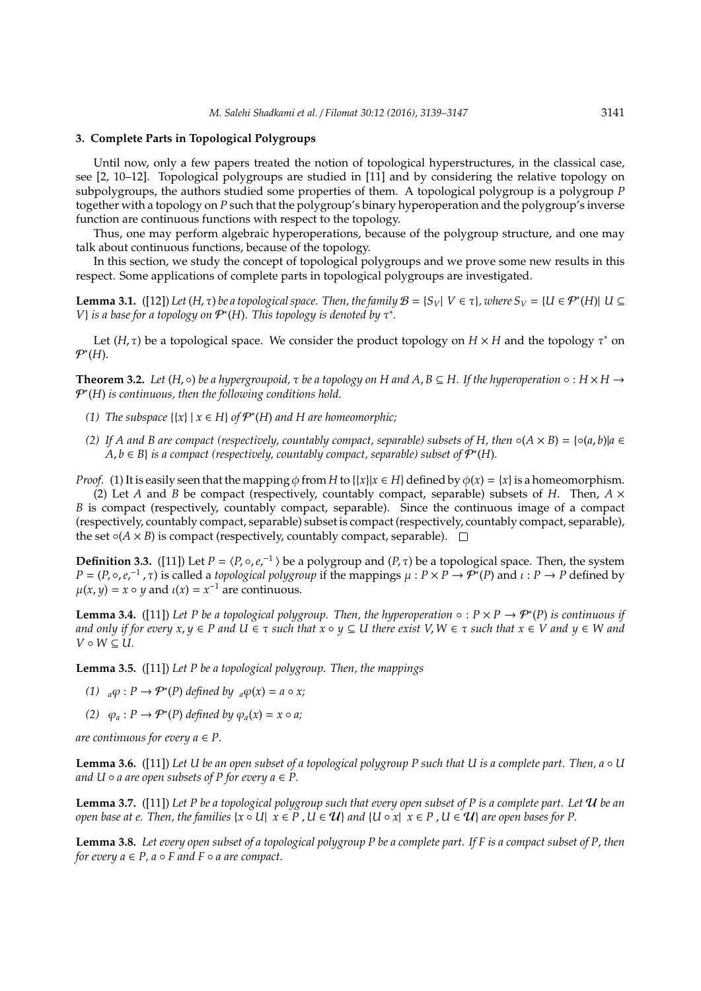### **3. Complete Parts in Topological Polygroups**

Until now, only a few papers treated the notion of topological hyperstructures, in the classical case, see [2, 10–12]. Topological polygroups are studied in [11] and by considering the relative topology on subpolygroups, the authors studied some properties of them. A topological polygroup is a polygroup *P* together with a topology on *P* such that the polygroup's binary hyperoperation and the polygroup's inverse function are continuous functions with respect to the topology.

Thus, one may perform algebraic hyperoperations, because of the polygroup structure, and one may talk about continuous functions, because of the topology.

In this section, we study the concept of topological polygroups and we prove some new results in this respect. Some applications of complete parts in topological polygroups are investigated.

**Lemma 3.1.** ([12]) *Let* (*H*,  $\tau$ ) *be a topological space. Then, the family*  $B = \{S_V | V \in \tau\}$ *, where*  $S_V = \{U \in \mathcal{P}^*(H) | U \subseteq V\}$ *V*} *is a base for a topology on*  $P$ *<sup>\*</sup>(H). This topology is denoted by τ<sup>\*</sup>.* 

Let  $(H, \tau)$  be a topological space. We consider the product topology on  $H \times H$  and the topology  $\tau^*$  on P∗ (*H*).

**Theorem 3.2.** *Let*  $(H, ∘)$  *be a hypergroupoid,*  $\tau$  *be a topology on H and A, B*  $\subseteq$  *H. If the hyperoperation* ◦ :  $H \times H \rightarrow$ P∗ (*H*) *is continuous, then the following conditions hold.*

- (1) The subspace  $\{x\}$  |  $x ∈ H$ } *of*  $P^*(H)$  *and*  $H$  *are homeomorphic*;
- (2) If A and B are compact (respectively, countably compact, separable) subsets of H, then  $\circ$ ( $A \times B$ ) = { $\circ$ ( $a$ ,  $b$ )| $a \in$  $A, b \in B$ } *is a compact (respectively, countably compact, separable) subset of*  $\mathcal{P}^*(H)$ *.*

*Proof.* (1) It is easily seen that the mapping  $\phi$  from *H* to {{*x*}|*x*  $\in$  *H*} defined by  $\phi$ (*x*) = {*x*} is a homeomorphism.

(2) Let *A* and *B* be compact (respectively, countably compact, separable) subsets of *H*. Then,  $A \times$ *B* is compact (respectively, countably compact, separable). Since the continuous image of a compact (respectively, countably compact, separable) subset is compact (respectively, countably compact, separable), the set  $\circ$ ( $A \times B$ ) is compact (respectively, countably compact, separable).  $\Box$ 

**Definition 3.3.** ([11]) Let  $P = \langle P, \circ, e, e^{-1} \rangle$  be a polygroup and  $(P, \tau)$  be a topological space. Then, the system  $P = (P, \circ, e,^{-1}, \tau)$  is called a *topological polygroup* if the mappings  $\mu : P \times P \to P^*(P)$  and  $\iota : P \to P$  defined by  $\mu(x, y) = x \circ y$  and  $\mu(x) = x^{-1}$  are continuous.

**Lemma 3.4.** ([11]) Let P be a topological polygroup. Then, the hyperoperation ∘ :  $P \times P \rightarrow P^*(P)$  is continuous if *and only if for every*  $x, y \in P$  *and*  $U \in \tau$  *such that*  $x \circ y \subseteq U$  *there exist*  $V, W \in \tau$  *such that*  $x \in V$  *and*  $y \in W$  *and*  $V \circ W \subseteq U$ .

**Lemma 3.5.** ([11]) *Let P be a topological polygroup. Then, the mappings*

- (1)  $_{a}\varphi$  :  $P \to \mathcal{P}^{*}(P)$  *defined by*  $_{a}\varphi(x) = a \circ x;$
- (2)  $\varphi_a : P \to \mathcal{P}^*(P)$  *defined by*  $\varphi_a(x) = x \circ a$ ;

*are continuous for every*  $a \in P$ *.* 

**Lemma 3.6.** ([11]) *Let U be an open subset of a topological polygroup P such that U is a complete part. Then, a* ◦ *U and U*  $\circ$  *a are open subsets of P for every a*  $\in$  *P*.

**Lemma 3.7.** ([11]) *Let P be a topological polygroup such that every open subset of P is a complete part. Let* U *be an open base at e. Then, the families*  $\{x \circ U | x \in P, U \in U\}$  *and*  $\{U \circ x | x \in P, U \in U\}$  *are open bases for P.* 

**Lemma 3.8.** *Let every open subset of a topological polygroup P be a complete part. If F is a compact subset of P, then for every*  $a \in P$ ,  $a \circ F$  *and*  $F \circ a$  *are compact.*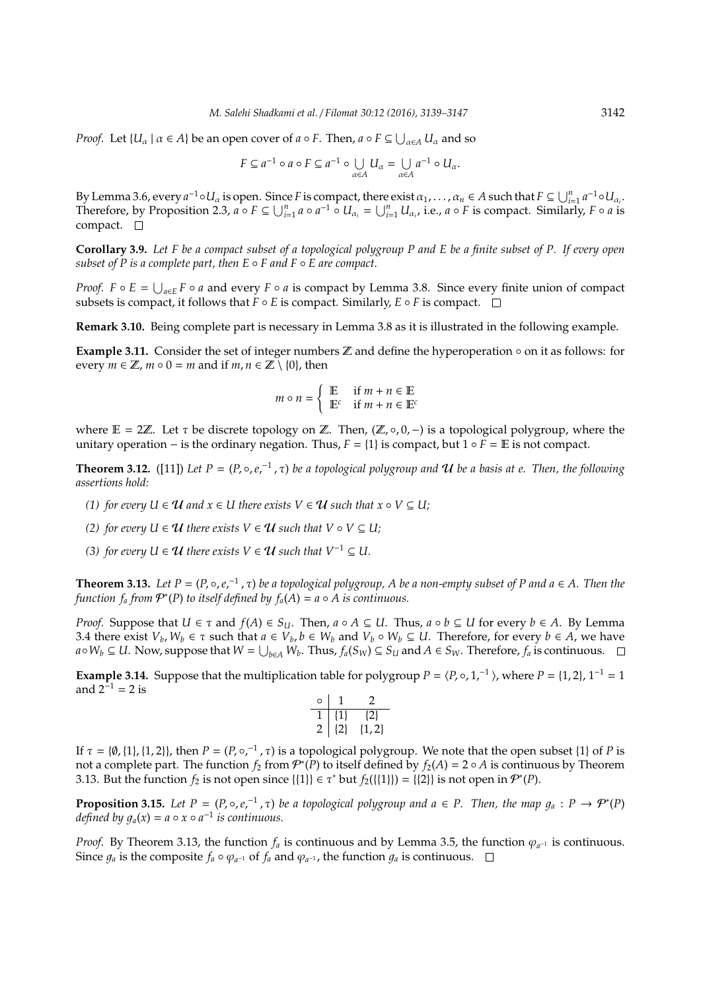*Proof.* Let  $\{U_\alpha \mid \alpha \in A\}$  be an open cover of  $a \circ F$ . Then,  $a \circ F \subseteq \bigcup_{\alpha \in A} U_\alpha$  and so

$$
F \subseteq a^{-1} \circ a \circ F \subseteq a^{-1} \circ \bigcup_{\alpha \in A} U_{\alpha} = \bigcup_{\alpha \in A} a^{-1} \circ U_{\alpha}.
$$

By Lemma 3.6, every  $a^{-1} \circ U_a$  is open. Since *F* is compact, there exist  $\alpha_1, \ldots, \alpha_n \in A$  such that  $F \subseteq \bigcup_{i=1}^n a^{-1} \circ U_{\alpha_i}$ . Therefore, by Proposition 2.3,  $a \circ F \subseteq \bigcup_{i=1}^{n} a \circ a^{-1} \circ U_{\alpha_i} = \bigcup_{i=1}^{n} U_{\alpha_i}$ , i.e.,  $a \circ F$  is compact. Similarly,  $F \circ a$  is compact.  $\square$ 

**Corollary 3.9.** *Let F be a compact subset of a topological polygroup P and E be a finite subset of P. If every open subset of P is a complete part, then E* ◦ *F and F* ◦ *E are compact.*

*Proof.*  $F \circ E = \bigcup_{a \in E} F \circ a$  and every  $F \circ a$  is compact by Lemma 3.8. Since every finite union of compact subsets is compact, it follows that  $F \circ E$  is compact. Similarly,  $E \circ F$  is compact.  $\square$ 

**Remark 3.10.** Being complete part is necessary in Lemma 3.8 as it is illustrated in the following example.

**Example 3.11.** Consider the set of integer numbers Z and define the hyperoperation ◦ on it as follows: for every  $m \in \mathbb{Z}$ ,  $m \circ 0 = m$  and if  $m, n \in \mathbb{Z} \setminus \{0\}$ , then

$$
m \circ n = \begin{cases} \mathbb{E} & \text{if } m + n \in \mathbb{E} \\ \mathbb{E}^c & \text{if } m + n \in \mathbb{E}^c \end{cases}
$$

where  $E = 2\mathbb{Z}$ . Let  $\tau$  be discrete topology on  $\mathbb{Z}$ . Then,  $(\mathbb{Z}, \circ, 0, -)$  is a topological polygroup, where the unitary operation – is the ordinary negation. Thus,  $F = \{1\}$  is compact, but  $1 \circ F = \mathbb{E}$  is not compact.

**Theorem 3.12.** ([11]) Let  $P = (P, \circ, e,^{-1}, \tau)$  be a topological polygroup and  $U$  be a basis at e. Then, the following *assertions hold:*

- *(1) for every U*  $\in \mathcal{U}$  *and*  $x \in U$  *there exists*  $V \in \mathcal{U}$  *such that*  $x \circ V \subseteq U$ ;
- *(2) for every U*  $\in \mathcal{U}$  *there exists*  $V \in \mathcal{U}$  *such that*  $V \circ V \subseteq U$ *;*
- *(3) for every U* ∈ *U there exists*  $V \in U$  *such that*  $V^{-1} \subseteq U$ .

**Theorem 3.13.** Let  $P = (P, \circ, e,^{-1}, \tau)$  be a topological polygroup, A be a non-empty subset of P and  $a \in A$ . Then the *function*  $f_a$  *from*  $\mathcal{P}^*(P)$  *to itself defined by*  $f_a(A) = a \circ A$  *is continuous.* 

*Proof.* Suppose that  $U \in \tau$  and  $f(A) \in S_U$ . Then,  $a \circ A \subseteq U$ . Thus,  $a \circ b \subseteq U$  for every  $b \in A$ . By Lemma 3.4 there exist  $V_b$ ,  $W_b \in \tau$  such that  $a \in V_b$ ,  $b \in W_b$  and  $V_b \circ W_b \subseteq U$ . Therefore, for every  $b \in A$ , we have  $a\circ W_b\subseteq U$ . Now, suppose that  $W=\bigcup_{b\in A}W_b$ . Thus,  $f_a(S_W)\subseteq S_U$  and  $A\in S_W$ . Therefore,  $f_a$  is continuous.

**Example 3.14.** Suppose that the multiplication table for polygroup  $P = \langle P, \circ, 1,^{-1} \rangle$ , where  $P = \{1, 2\}$ ,  $1^{-1} = 1$ and  $2^{-1} = 2$  is

|  | ı,       |
|--|----------|
|  | -71<br>, |

If  $\tau = \{\emptyset, \{1\}, \{1, 2\}\}\$ , then  $P = (P, \circ,^{-1}, \tau)$  is a topological polygroup. We note that the open subset  $\{1\}$  of P is not a complete part. The function  $f_2$  from  $\mathcal{P}^*(P)$  to itself defined by  $f_2(A) = 2 \circ A$  is continuous by Theorem 3.13. But the function  $f_2$  is not open since  $\{\{1\}\}\in \tau^*$  but  $f_2(\{\{1\}\}) = \{\{2\}\}\$ is not open in  $\mathcal{P}^*(P)$ .

**Proposition 3.15.** Let  $P = (P, \circ, e,^{-1}, \tau)$  be a topological polygroup and  $a \in P$ . Then, the map  $g_a : P \to P^*(P)$ *defined by*  $g_a(x) = a \circ x \circ a^{-1}$  *is continuous.* 

*Proof.* By Theorem 3.13, the function  $f_a$  is continuous and by Lemma 3.5, the function  $\varphi_{a^{-1}}$  is continuous. Since  $g_a$  is the composite  $f_a \circ \varphi_{a^{-1}}$  of  $f_a$  and  $\varphi_{a^{-1}}$ , the function  $g_a$  is continuous.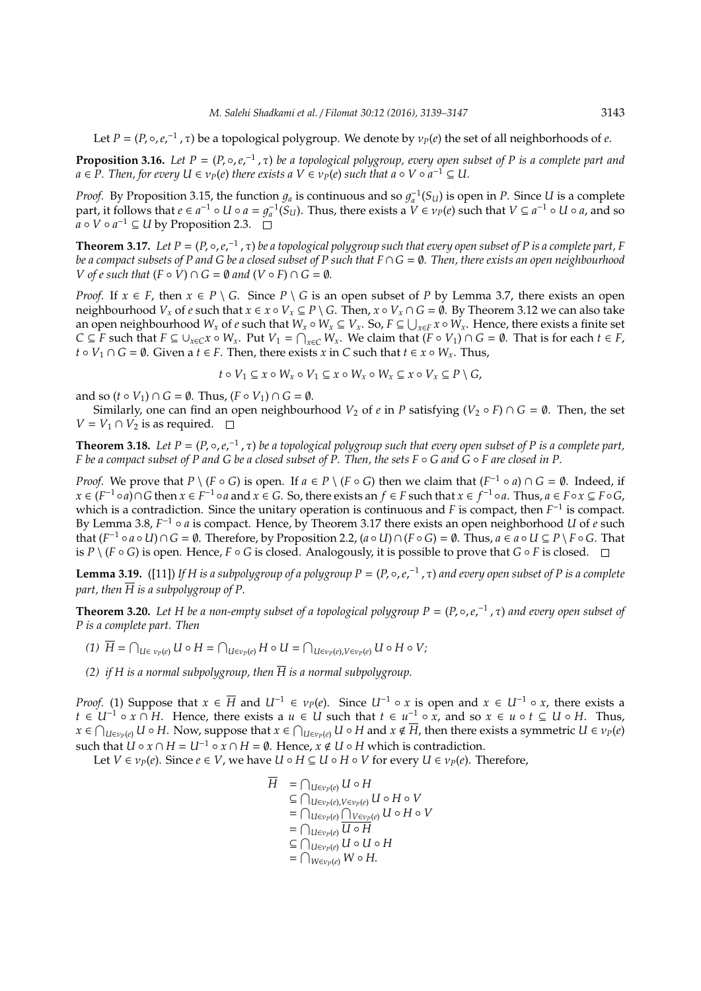Let  $P = (P, \circ, e,^{-1}, \tau)$  be a topological polygroup. We denote by  $v_P(e)$  the set of all neighborhoods of *e*.

**Proposition 3.16.** Let  $P = (P, \circ, e,^{-1}, \tau)$  be a topological polygroup, every open subset of P is a complete part and  $a \in P$ . Then, for every  $U \in v_P(e)$  there exists a  $V \in v_P(e)$  such that  $a \circ V \circ a^{-1} \subseteq U$ .

*Proof.* By Proposition 3.15, the function  $g_a$  is continuous and so  $g_a^{-1}(S_u)$  is open in *P*. Since *U* is a complete part, it follows that  $e \in a^{-1} \circ U \circ a = g_a^{-1}(S_u)$ . Thus, there exists a  $V \in V_P(e)$  such that  $V \subseteq a^{-1} \circ U \circ a$ , and so  $a \circ V \circ a^{-1} \subseteq U$  by Proposition 2.3.

**Theorem 3.17.** Let  $P = (P, \circ, e,^{-1}, \tau)$  be a topological polygroup such that every open subset of P is a complete part, F *be a compact subsets of P and G be a closed subset of P such that F*∩ *G* = ∅*. Then, there exists an open neighbourhood V* of *e* such that  $(F \circ V) \cap G = \emptyset$  and  $(V \circ F) \cap G = \emptyset$ .

*Proof.* If  $x \in F$ , then  $x \in P \setminus G$ . Since  $P \setminus G$  is an open subset of P by Lemma 3.7, there exists an open neighbourhood  $V_x$  of *e* such that  $x \in x \circ V_x \subseteq P \setminus G$ . Then,  $x \circ V_x \cap G = \emptyset$ . By Theorem 3.12 we can also take an open neighbourhood  $W_x$  of  $e$  such that  $W_x \circ W_x \subseteq V_x$ . So,  $F \subseteq \bigcup_{x \in F} x \circ W_x$ . Hence, there exists a finite set  $C \subseteq F$  such that  $F \subseteq \bigcup_{x \in C} x \circ W_x$ . Put  $V_1 = \bigcap_{x \in C} W_x$ . We claim that  $(F \circ V_1) \cap G = \emptyset$ . That is for each  $t \in F$ , *t* ◦ *V*<sub>1</sub> ∩ *G* = ∅. Given a *t* ∈ *F*. Then, there exists *x* in *C* such that *t* ∈ *x* ◦ *W*<sub>*x*</sub>. Thus,

 $t \circ V_1 \subseteq x \circ W_x \circ V_1 \subseteq x \circ W_x \circ W_x \subseteq x \circ V_x \subseteq P \setminus G$ ,

and so  $(t \circ V_1) \cap G = \emptyset$ . Thus,  $(F \circ V_1) \cap G = \emptyset$ .

Similarly, one can find an open neighbourhood  $V_2$  of  $e$  in  $P$  satisfying  $(V_2 \circ F) \cap G = \emptyset$ . Then, the set *V* = *V*<sub>1</sub> ∩ *V*<sub>2</sub> is as required.  $□$ 

**Theorem 3.18.** Let  $P = (P, \circ, e,^{-1}, \tau)$  be a topological polygroup such that every open subset of P is a complete part, *F* be a compact subset of P and *G* be a closed subset of P. Then, the sets *F* ◦ *G* and *G* ◦ *F* are closed in P.

*Proof.* We prove that  $P \setminus (F \circ G)$  is open. If  $a \in P \setminus (F \circ G)$  then we claim that  $(F^{-1} \circ a) \cap G = \emptyset$ . Indeed, if  $x \in (F^{-1} \circ a) \cap G$  then  $x \in F^{-1} \circ a$  and  $x \in G$ . So, there exists an  $f \in F$  such that  $x \in f^{-1} \circ a$ . Thus,  $a \in F \circ x \subseteq F \circ G$ , which is a contradiction. Since the unitary operation is continuous and *F* is compact, then  $F^{-1}$  is compact. By Lemma 3.8, *F*<sup>-1</sup> ∘ *a* is compact. Hence, by Theorem 3.17 there exists an open neighborhood *U* of *e* such that  $(F^{-1} \circ a \circ U) \cap G = \emptyset$ . Therefore, by Proposition 2.2,  $(a \circ U) \cap (F \circ G) = \emptyset$ . Thus,  $a \in a \circ U \subseteq P \setminus F \circ G$ . That is  $P \setminus (F \circ G)$  is open. Hence,  $F \circ G$  is closed. Analogously, it is possible to prove that  $G \circ F$  is closed.  $\Box$ 

**Lemma 3.19.** ([11]) If H is a subpolygroup of a polygroup  $P = (P, \circ, e,^{-1}, \tau)$  and every open subset of P is a complete *part, then*  $\overline{H}$  *is a subpolygroup of P.* 

**Theorem 3.20.** Let H be a non-empty subset of a topological polygroup  $P = (P, \circ, e,^{-1}, \tau)$  and every open subset of *P is a complete part. Then*

- $\overline{H} = \bigcap_{U \in v_P(e)} U \circ H = \bigcap_{U \in v_P(e)} H \circ U = \bigcap_{U \in v_P(e), V \in v_P(e)} U \circ H \circ V;$
- *(2) if H is a normal subpolygroup, then*  $\overline{H}$  *is a normal subpolygroup.*

*Proof.* (1) Suppose that  $x \in \overline{H}$  and  $U^{-1} \in v_P(e)$ . Since  $U^{-1} \circ x$  is open and  $x \in U^{-1} \circ x$ , there exists a *t* ∈  $U^{-1} \circ x \cap H$ . Hence, there exists a  $u \in U$  such that  $t \in u^{-1} \circ x$ , and so  $x \in u \circ t \subseteq U \circ H$ . Thus,  $x\in \bigcap_{U\in v_P(e)}U\circ H.$  Now, suppose that  $x\in \bigcap_{U\in v_P(e)}U\circ H$  and  $x\notin \overline{H}$ , then there exists a symmetric  $U\in v_P(e)$ such that  $\overrightarrow{U} \circ x \cap H = U^{-1} \circ x \cap H = \emptyset$ . Hence,  $\overrightarrow{x} \notin U \circ H$  which is contradiction.

Let *V* ∈  $\nu_P(e)$ . Since  $e \in V$ , we have *U* ∘ *H* ⊆ *U* ∘ *H* ∘ *V* for every *U* ∈  $\nu_P(e)$ . Therefore,

$$
\overline{H} = \bigcap_{U \in v_P(e)} U \circ H
$$
\n
$$
\subseteq \bigcap_{U \in v_P(e), V \in v_P(e)} U \circ H \circ V
$$
\n
$$
= \bigcap_{U \in v_P(e)} \bigcap_{V \in v_P(e)} U \circ H \circ V
$$
\n
$$
= \bigcap_{U \in v_P(e)} \overline{U \circ H}
$$
\n
$$
\subseteq \bigcap_{U \in v_P(e)} U \circ U \circ H
$$
\n
$$
= \bigcap_{W \in v_P(e)} W \circ H.
$$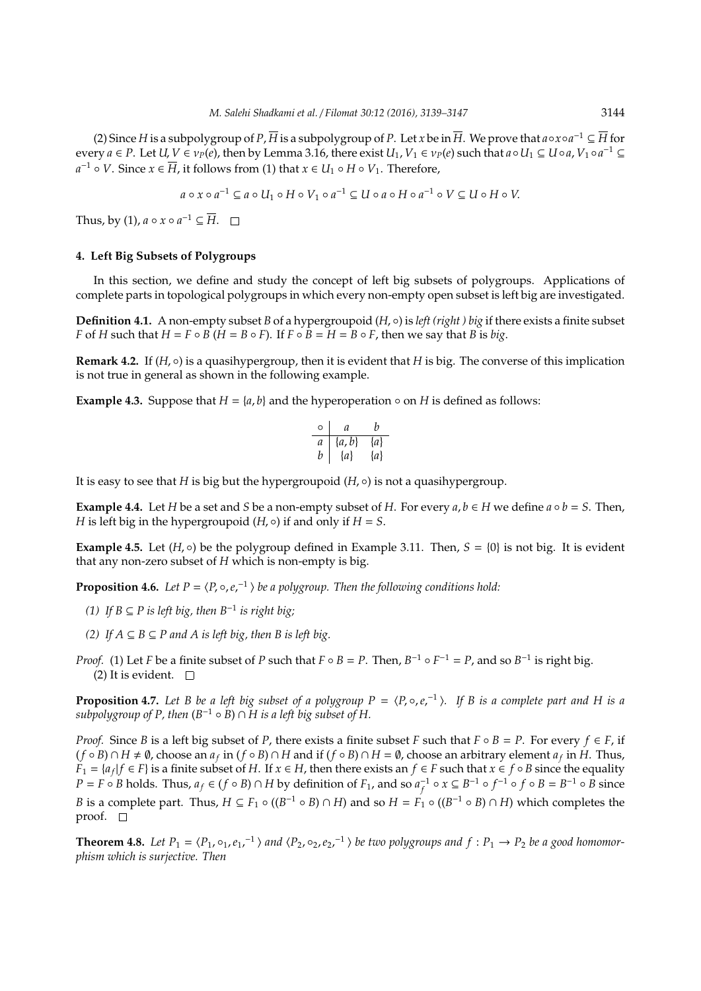(2) Since *H* is a subpolygroup of *P*,  $\overline{H}$  is a subpolygroup of *P*. Let *x* be in  $\overline{H}$ . We prove that  $a \circ x \circ a^{-1} \subseteq \overline{H}$  for  $e^{i\omega}$  *every*  $a \in P$ *. Let*  $U, V \in \nu_P(e)$ *, then by Lemma 3.16, there exist*  $U_1, V_1 \in \nu_P(e)$  *such that*  $a \circ U_1 \subseteq U \circ a$ *,*  $V_1 \circ a^{-1} \subseteq$ *a*<sup>-1</sup> ◦ *V*. Since *x* ∈  $\overline{H}$ , it follows from (1) that *x* ∈ *U*<sub>1</sub> ◦ *H* ◦ *V*<sub>1</sub>. Therefore,

$$
a \circ x \circ a^{-1} \subseteq a \circ U_1 \circ H \circ V_1 \circ a^{-1} \subseteq U \circ a \circ H \circ a^{-1} \circ V \subseteq U \circ H \circ V.
$$

Thus, by (1),  $a \circ x \circ a^{-1} \subseteq \overline{H}$ .

## **4. Left Big Subsets of Polygroups**

In this section, we define and study the concept of left big subsets of polygroups. Applications of complete parts in topological polygroups in which every non-empty open subset is left big are investigated.

**Definition 4.1.** A non-empty subset *B* of a hypergroupoid (*H*, ◦) is *left (right ) big* if there exists a finite subset *F* of *H* such that  $H = F \circ B$  ( $H = B \circ F$ ). If  $F \circ B = H = B \circ F$ , then we say that *B* is *big*.

**Remark 4.2.** If (*H*, ◦) is a quasihypergroup, then it is evident that *H* is big. The converse of this implication is not true in general as shown in the following example.

**Example 4.3.** Suppose that  $H = \{a, b\}$  and the hyperoperation  $\circ$  on *H* is defined as follows:

$$
\begin{array}{c|cc}\n\circ & a & b \\
\hline\na & \{a, b\} & \{a\} \\
b & \{a\} & \{a\}\n\end{array}
$$

It is easy to see that *H* is big but the hypergroupoid (*H*, ◦) is not a quasihypergroup.

**Example 4.4.** Let *H* be a set and *S* be a non-empty subset of *H*. For every  $a, b \in H$  we define  $a \circ b = S$ . Then, *H* is left big in the hypergroupoid  $(H, \circ)$  if and only if  $H = S$ .

**Example 4.5.** Let  $(H, \circ)$  be the polygroup defined in Example 3.11. Then,  $S = \{0\}$  is not big. It is evident that any non-zero subset of *H* which is non-empty is big.

**Proposition 4.6.** Let  $P = \langle P, \circ, e, \cdot^{\perp} \rangle$  be a polygroup. Then the following conditions hold:

- *(1) If B* ⊆ *P is left big, then B*<sup>−</sup><sup>1</sup> *is right big;*
- *(2)* If  $A ⊆ B ⊆ P$  and  $A$  is left big, then  $B$  is left big.
- *Proof.* (1) Let *F* be a finite subset of *P* such that  $F \circ B = P$ . Then,  $B^{-1} \circ F^{-1} = P$ , and so  $B^{-1}$  is right big. (2) It is evident.  $\square$

**Proposition 4.7.** Let B be a left big subset of a polygroup  $P = \langle P, \circ, e,^{-1} \rangle$ . If B is a complete part and H is a  $s$ ubpolygroup of P, then  $(B^{-1} \circ B) \cap \widetilde{H}$  is a left big subset of  $H$ .

*Proof.* Since *B* is a left big subset of *P*, there exists a finite subset *F* such that  $F \circ B = P$ . For every  $f \in F$ , if  $(f \circ B) \cap H \neq \emptyset$ , choose an  $a_f$  in  $(f \circ B) \cap H$  and if  $(f \circ B) \cap H = \emptyset$ , choose an arbitrary element  $a_f$  in *H*. Thus, *F*<sub>1</sub> = { $a_f$ |*f* ∈ *F*} is a finite subset of *H*. If *x* ∈ *H*, then there exists an *f* ∈ *F* such that *x* ∈ *f* ◦ *B* since the equality  $P = F \circ B$  holds. Thus,  $a_f \in (f \circ B) \cap H$  by definition of  $F_1$ , and so  $a_f^{-1} \circ x \subseteq B^{-1} \circ f^{-1} \circ f \circ B = B^{-1} \circ B$  since *B* is a complete part. Thus,  $H \subseteq F_1 \circ ((B^{-1} \circ B) \cap H)$  and so  $H = F_1 \circ ((B^{-1} \circ B) \cap H)$  which completes the proof.  $\square$ 

**Theorem 4.8.** Let  $P_1 = (P_1, o_1, e_1,^{-1})$  and  $(P_2, o_2, e_2,^{-1})$  be two polygroups and  $f : P_1 \to P_2$  be a good homomor*phism which is surjective. Then*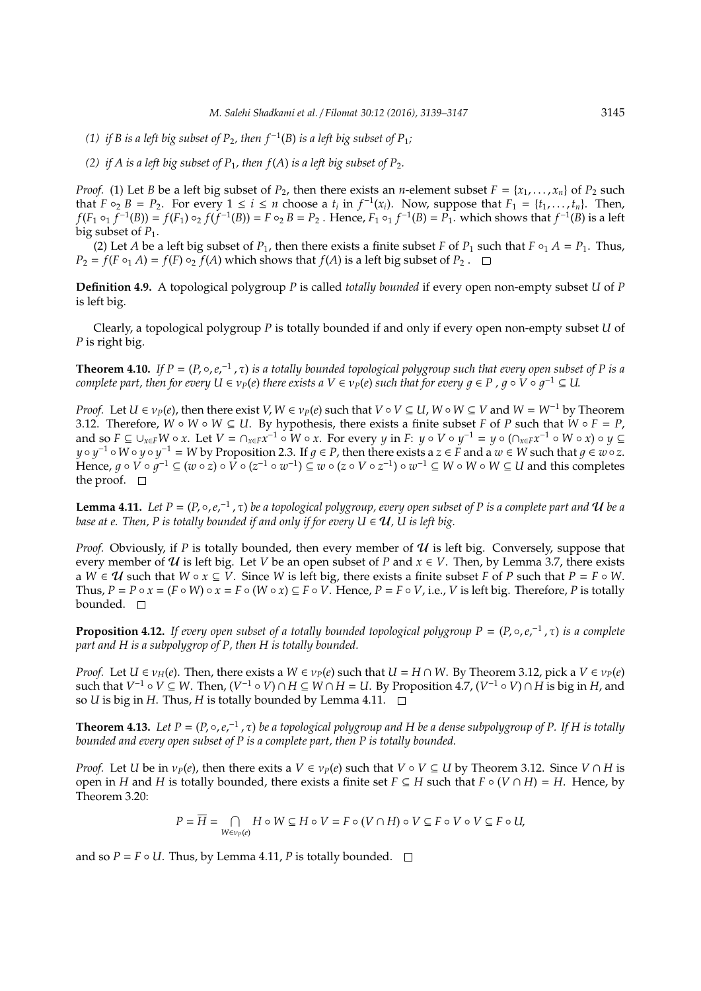- (1) if *B* is a left big subset of  $P_2$ , then  $f^{-1}(B)$  is a left big subset of  $P_1$ ;
- *(2) if A is a left big subset of P<sub>1</sub>, then*  $f(A)$  *is a left big subset of P<sub>2</sub>.*

*Proof.* (1) Let *B* be a left big subset of *P*<sub>2</sub>, then there exists an *n*-element subset  $F = \{x_1, \ldots, x_n\}$  of *P*<sub>2</sub> such that  $F \circ_2 B = P_2$ . For every  $1 \le i \le n$  choose a  $t_i$  in  $f^{-1}(x_i)$ . Now, suppose that  $F_1 = \{t_1, \ldots, t_n\}$ . Then,  $f(F_1 \circ_1 f^{-1}(B)) = f(F_1) \circ_2 f(f^{-1}(B)) = F \circ_2 B = P_2$ . Hence,  $F_1 \circ_1 f^{-1}(B) = P_1$ , which shows that  $f^{-1}(B)$  is a left big subset of  $P_1$ .

(2) Let *A* be a left big subset of  $P_1$ , then there exists a finite subset *F* of  $P_1$  such that  $F \circ_1 A = P_1$ . Thus,  $P_2 = f(F \circ_A A) = f(F) \circ_A f(A)$  which shows that  $f(A)$  is a left big subset of  $P_2$ .

**Definition 4.9.** A topological polygroup *P* is called *totally bounded* if every open non-empty subset *U* of *P* is left big.

Clearly, a topological polygroup *P* is totally bounded if and only if every open non-empty subset *U* of *P* is right big.

**Theorem 4.10.** If  $P = (P, \circ, e,^{-1}, \tau)$  is a totally bounded topological polygroup such that every open subset of P is a  $p(e)$  *complete part, then for every*  $U \in v_P(e)$  *there exists a*  $V \in v_P(e)$  *such that for every*  $g \in P$  *,*  $g \circ V \circ g^{-1} \subseteq U$ *.* 

*Proof.* Let  $U \in v_P(e)$ , then there exist  $V, W \in v_P(e)$  such that  $V \circ V \subseteq U$ ,  $W \circ W \subseteq V$  and  $W = W^{-1}$  by Theorem 3.12. Therefore,  $W \circ W \subseteq U$ . By hypothesis, there exists a finite subset *F* of *P* such that  $W \circ F = P$ , and so  $F \subseteq \bigcup_{x \in F} W \circ x$ . Let  $V = \bigcap_{x \in F} x^{-1} \circ W \circ x$ . For every  $y$  in  $F: y \circ V \circ y^{-1} = y \circ (\bigcap_{x \in F} x^{-1} \circ W \circ x) \circ y \subseteq$  $y \circ y^{-1} \circ W \circ y \circ y^{-1} = W$  by Proposition 2.3. If  $g \in P$ , then there exists a  $z \in F$  and a  $w \in W$  such that  $g \in w \circ z$ .  $\widetilde{V}$   $\vdash$   $\in$   $\forall$   $\circ$   $\circ$   $\varphi^{-1}$   $\subseteq$   $(w\circ z) \circ \widetilde{V}$   $\circ$   $(z^{-1}\circ w^{-1}) \subseteq \widetilde{w}$   $\circ$   $(z\circ V\circ z^{-1}) \circ w^{-1} \subseteq W$   $\circ$   $W \circ W \subseteq U$  and this completes the proof.  $\square$ 

**Lemma 4.11.** Let  $P = (P, \circ, e,^{-1}, \tau)$  be a topological polygroup, every open subset of P is a complete part and  $U$  be a *base at e. Then, P is totally bounded if and only if for every*  $U \in \mathcal{U}$ *, U is left big.* 

*Proof.* Obviously, if P is totally bounded, then every member of  $U$  is left big. Conversely, suppose that every member of  $U$  is left big. Let *V* be an open subset of *P* and  $x \in V$ . Then, by Lemma 3.7, there exists a *W*  $\in \mathcal{U}$  such that *W* ∘ *x*  $\subseteq$  *V*. Since *W* is left big, there exists a finite subset *F* of *P* such that *P* = *F* ∘ *W*. Thus,  $P = P \circ x = (F \circ W) \circ x = F \circ (W \circ x) \subseteq F \circ V$ . Hence,  $P = F \circ V$ , i.e., V is left big. Therefore, P is totally bounded.  $\Box$ 

**Proposition 4.12.** If every open subset of a totally bounded topological polygroup  $P = (P, \circ, e,^{-1}, \tau)$  is a complete *part and H is a subpolygrop of P, then H is totally bounded.*

*Proof.* Let  $U \in v_H(e)$ . Then, there exists a  $W \in v_P(e)$  such that  $U = H \cap W$ . By Theorem 3.12, pick a  $V \in v_P(e)$ such that  $V^{-1} \circ V \subseteq W$ . Then,  $(V^{-1} \circ V) \cap H \subseteq W \cap H = U$ . By Proposition 4.7,  $(V^{-1} \circ V) \cap H$  is big in *H*, and so *U* is big in *H*. Thus, *H* is totally bounded by Lemma 4.11.  $\Box$ 

**Theorem 4.13.** Let  $P = (P, \circ, e,^{-1}, \tau)$  be a topological polygroup and H be a dense subpolygroup of P. If H is totally *bounded and every open subset of P is a complete part, then P is totally bounded.*

*Proof.* Let *U* be in  $v_P(e)$ , then there exits a  $V \in v_P(e)$  such that  $V \circ V \subseteq U$  by Theorem 3.12. Since  $V \cap H$  is open in *H* and *H* is totally bounded, there exists a finite set  $F \subseteq H$  such that  $F \circ (V \cap H) = H$ . Hence, by Theorem 3.20:

$$
P = \overline{H} = \bigcap_{W \in v_P(e)} H \circ W \subseteq H \circ V = F \circ (V \cap H) \circ V \subseteq F \circ V \circ V \subseteq F \circ U,
$$

and so  $P = F \circ U$ . Thus, by Lemma 4.11, *P* is totally bounded.  $\Box$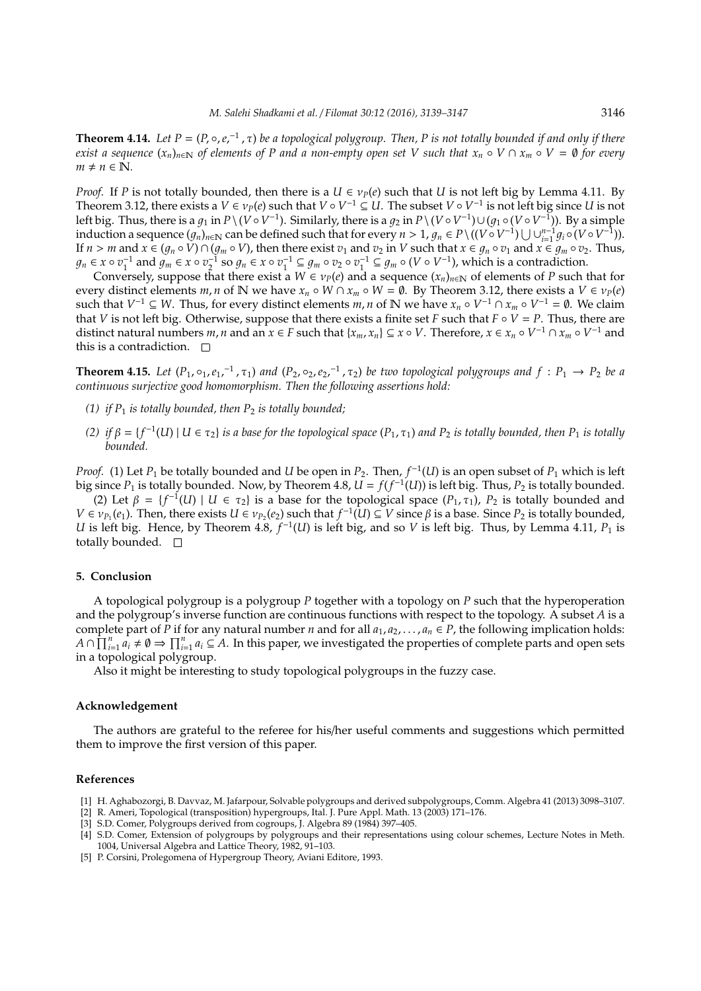**Theorem 4.14.** Let  $P = (P, \circ, e,^{-1}, \tau)$  be a topological polygroup. Then, P is not totally bounded if and only if there *exist a sequence*  $(x_n)_{n\in\mathbb{N}}$  *of elements of P and a non-empty open set V such that*  $x_n \circ V \cap x_m \circ V = \emptyset$  *for every*  $m \neq n \in \mathbb{N}$ .

*Proof.* If *P* is not totally bounded, then there is a  $U \in v_P(e)$  such that *U* is not left big by Lemma 4.11. By Theorem 3.12, there exists a  $V \in \nu_P(e)$  such that  $V \circ V^{-1} \subseteq U$ . The subset  $V \circ V^{-1}$  is not left big since *U* is not left big. Thus, there is a  $g_1$  in  $P\setminus (V\circ V^{-1})$ . Similarly, there is a  $g_2$  in  $P\setminus (V\circ V^{-1})\cup (g_1\circ (V\circ V^{-1}))$ . By a simple induction a sequence  $(g_n)_{n\in\mathbb{N}}$  can be defined such that for every  $n > 1$ ,  $g_n \in P\setminus ((V \circ V^{-1}) \cup \cup_{i=1}^{n-1} g_i \circ (V \circ V^{-1}))$ . If  $n > m$  and  $x \in (g_n \circ V) \cap (g_m \circ V)$ , then there exist  $v_1$  and  $v_2$  in  $V$  such that  $x \in g_n \circ v_1$  and  $x \in g_m \circ v_2$ . Thus,  $g_n \in x \circ v_1^{-1}$  and  $g_m \in x \circ v_2^{-1}$  so  $g_n \in x \circ v_1^{-1} \subseteq g_m \circ v_2 \circ v_1^{-1} \subseteq g_m \circ (V \circ V^{-1})$ , which is a contradiction.

Conversely, suppose that there exist a  $W \in \nu_P(e)$  and a sequence  $(x_n)_{n \in \mathbb{N}}$  of elements of P such that for every distinct elements *m*, *n* of N we have  $x_n \circ W \cap x_m \circ W = \emptyset$ . By Theorem 3.12, there exists a  $V \in v_P(e)$ such that  $V^{-1} \subseteq W$ . Thus, for every distinct elements *m*, *n* of N we have  $x_n \circ V^{-1} \cap x_m \circ V^{-1} = \emptyset$ . We claim that *V* is not left big. Otherwise, suppose that there exists a finite set *F* such that  $F \circ V = P$ . Thus, there are distinct natural numbers m, n and an  $x \in F$  such that  $\{x_m, x_n\} \subseteq x \circ V$ . Therefore,  $x \in x_n \circ V^{-1} \cap x_m \circ V^{-1}$  and this is a contradiction.  $\square$ 

**Theorem 4.15.** Let  $(P_1, o_1, e_1,^{-1}, \tau_1)$  and  $(P_2, o_2, e_2,^{-1}, \tau_2)$  be two topological polygroups and  $f: P_1 \to P_2$  be a *continuous surjective good homomorphism. Then the following assertions hold:*

- *(1) if*  $P_1$  *is totally bounded, then*  $P_2$  *is totally bounded;*
- $(2)$  *if*  $\beta = \{f^{-1}(U) \mid U \in \tau_2\}$  *is a base for the topological space*  $(P_1, \tau_1)$  *and*  $P_2$  *is totally bounded, then*  $P_1$  *is totally bounded.*

*Proof.* (1) Let  $P_1$  be totally bounded and *U* be open in  $P_2$ . Then,  $f^{-1}(U)$  is an open subset of  $P_1$  which is left big since  $P_1$  is totally bounded. Now, by Theorem 4.8,  $U = f(f^{-1}(U))$  is left big. Thus,  $P_2$  is totally bounded.

(2) Let  $\beta = \{f^{-1}(U) \mid U \in \tau_2\}$  is a base for the topological space  $(P_1, \tau_1)$ ,  $P_2$  is totally bounded and  $V \in \nu_{P_1}(e_1)$ . Then, there exists  $U \in \nu_{P_2}(e_2)$  such that  $f^{-1}(U) \subseteq V$  since  $\beta$  is a base. Since  $P_2$  is totally bounded, *U* is left big. Hence, by Theorem  $4.8$ ,  $f^{-1}(U)$  is left big, and so *V* is left big. Thus, by Lemma 4.11,  $P_1$  is totally bounded.  $\square$ 

#### **5. Conclusion**

A topological polygroup is a polygroup *P* together with a topology on *P* such that the hyperoperation and the polygroup's inverse function are continuous functions with respect to the topology. A subset *A* is a complete part of *P* if for any natural number *n* and for all  $a_1, a_2, \ldots, a_n \in P$ , the following implication holds:  $A \cap \prod_{i=1}^n a_i \neq \emptyset \Rightarrow \prod_{i=1}^n a_i \subseteq A$ . In this paper, we investigated the properties of complete parts and open sets in a topological polygroup.

Also it might be interesting to study topological polygroups in the fuzzy case.

## **Acknowledgement**

The authors are grateful to the referee for his/her useful comments and suggestions which permitted them to improve the first version of this paper.

#### **References**

- [1] H. Aghabozorgi, B. Davvaz, M. Jafarpour, Solvable polygroups and derived subpolygroups, Comm. Algebra 41 (2013) 3098–3107.
- [2] R. Ameri, Topological (transposition) hypergroups, Ital. J. Pure Appl. Math. 13 (2003) 171–176.
- [3] S.D. Comer, Polygroups derived from cogroups, J. Algebra 89 (1984) 397–405.
- [4] S.D. Comer, Extension of polygroups by polygroups and their representations using colour schemes, Lecture Notes in Meth. 1004, Universal Algebra and Lattice Theory, 1982, 91–103.
- [5] P. Corsini, Prolegomena of Hypergroup Theory, Aviani Editore, 1993.